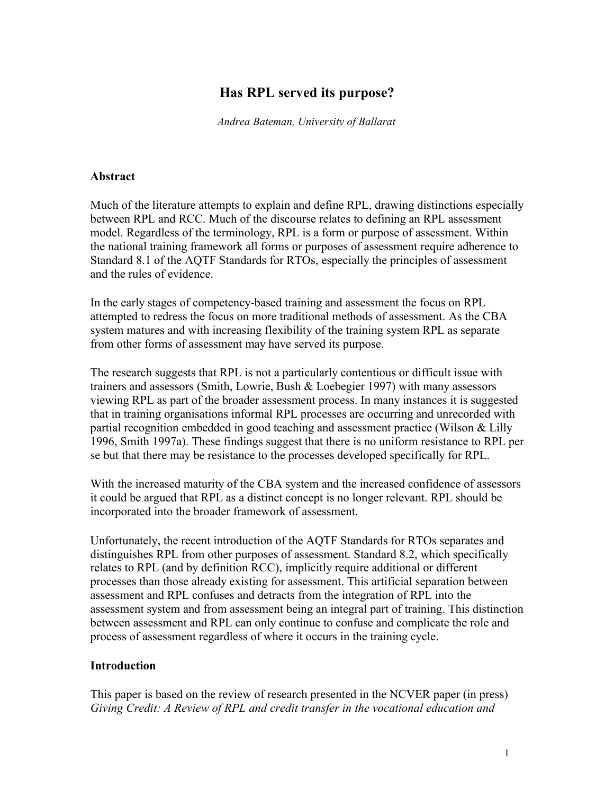# **Has RPL served its purpose?**

*Andrea Bateman, University of Ballarat*

#### **Abstract**

Much of the literature attempts to explain and define RPL, drawing distinctions especially between RPL and RCC. Much of the discourse relates to defining an RPL assessment model. Regardless of the terminology, RPL is a form or purpose of assessment. Within the national training framework all forms or purposes of assessment require adherence to Standard 8.1 of the AQTF Standards for RTOs, especially the principles of assessment and the rules of evidence.

In the early stages of competency-based training and assessment the focus on RPL attempted to redress the focus on more traditional methods of assessment. As the CBA system matures and with increasing flexibility of the training system RPL as separate from other forms of assessment may have served its purpose.

The research suggests that RPL is not a particularly contentious or difficult issue with trainers and assessors (Smith, Lowrie, Bush & Loebegier 1997) with many assessors viewing RPL as part of the broader assessment process. In many instances it is suggested that in training organisations informal RPL processes are occurring and unrecorded with partial recognition embedded in good teaching and assessment practice (Wilson & Lilly 1996, Smith 1997a). These findings suggest that there is no uniform resistance to RPL per se but that there may be resistance to the processes developed specifically for RPL.

With the increased maturity of the CBA system and the increased confidence of assessors it could be argued that RPL as a distinct concept is no longer relevant. RPL should be incorporated into the broader framework of assessment.

Unfortunately, the recent introduction of the AQTF Standards for RTOs separates and distinguishes RPL from other purposes of assessment. Standard 8.2, which specifically relates to RPL (and by definition RCC), implicitly require additional or different processes than those already existing for assessment. This artificial separation between assessment and RPL confuses and detracts from the integration of RPL into the assessment system and from assessment being an integral part of training. This distinction between assessment and RPL can only continue to confuse and complicate the role and process of assessment regardless of where it occurs in the training cycle.

## **Introduction**

This paper is based on the review of research presented in the NCVER paper (in press) *Giving Credit: A Review of RPL and credit transfer in the vocational education and*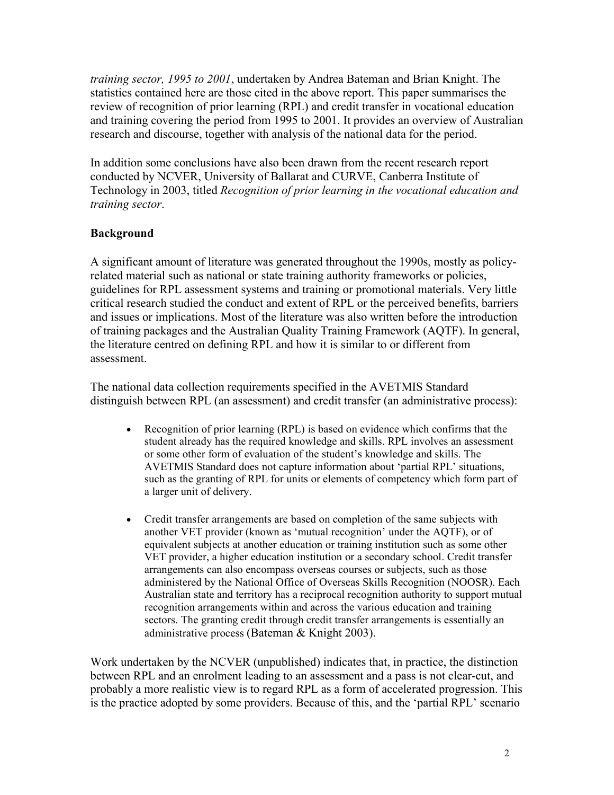*training sector, 1995 to 2001*, undertaken by Andrea Bateman and Brian Knight. The statistics contained here are those cited in the above report. This paper summarises the review of recognition of prior learning (RPL) and credit transfer in vocational education and training covering the period from 1995 to 2001. It provides an overview of Australian research and discourse, together with analysis of the national data for the period.

In addition some conclusions have also been drawn from the recent research report conducted by NCVER, University of Ballarat and CURVE, Canberra Institute of Technology in 2003, titled *Recognition of prior learning in the vocational education and training sector*.

# **Background**

A significant amount of literature was generated throughout the 1990s, mostly as policyrelated material such as national or state training authority frameworks or policies, guidelines for RPL assessment systems and training or promotional materials. Very little critical research studied the conduct and extent of RPL or the perceived benefits, barriers and issues or implications. Most of the literature was also written before the introduction of training packages and the Australian Quality Training Framework (AQTF). In general, the literature centred on defining RPL and how it is similar to or different from assessment.

The national data collection requirements specified in the AVETMIS Standard distinguish between RPL (an assessment) and credit transfer (an administrative process):

- Recognition of prior learning (RPL) is based on evidence which confirms that the student already has the required knowledge and skills. RPL involves an assessment or some other form of evaluation of the student's knowledge and skills. The AVETMIS Standard does not capture information about 'partial RPL' situations, such as the granting of RPL for units or elements of competency which form part of a larger unit of delivery.
- Credit transfer arrangements are based on completion of the same subjects with another VET provider (known as 'mutual recognition' under the AQTF), or of equivalent subjects at another education or training institution such as some other VET provider, a higher education institution or a secondary school. Credit transfer arrangements can also encompass overseas courses or subjects, such as those administered by the National Office of Overseas Skills Recognition (NOOSR). Each Australian state and territory has a reciprocal recognition authority to support mutual recognition arrangements within and across the various education and training sectors. The granting credit through credit transfer arrangements is essentially an administrative process (Bateman & Knight 2003).

Work undertaken by the NCVER (unpublished) indicates that, in practice, the distinction between RPL and an enrolment leading to an assessment and a pass is not clear-cut, and probably a more realistic view is to regard RPL as a form of accelerated progression. This is the practice adopted by some providers. Because of this, and the 'partial RPL' scenario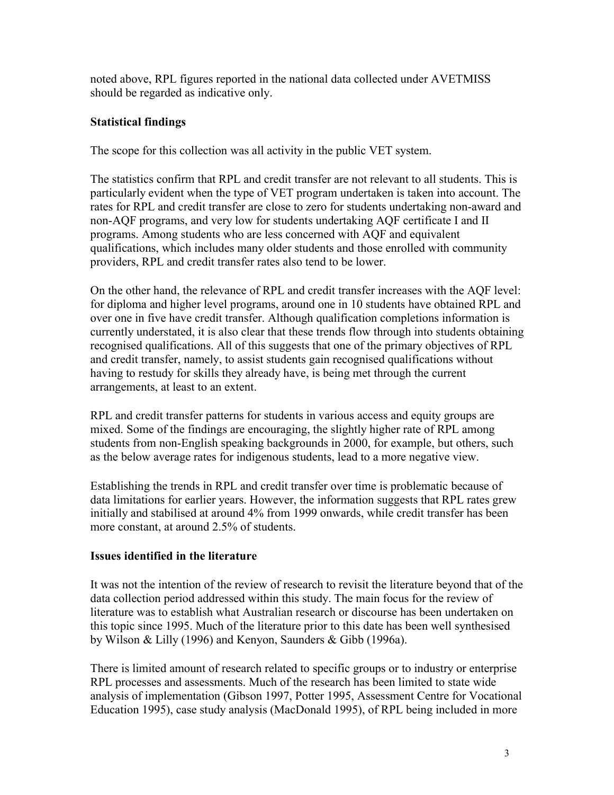noted above, RPL figures reported in the national data collected under AVETMISS should be regarded as indicative only.

# **Statistical findings**

The scope for this collection was all activity in the public VET system.

The statistics confirm that RPL and credit transfer are not relevant to all students. This is particularly evident when the type of VET program undertaken is taken into account. The rates for RPL and credit transfer are close to zero for students undertaking non-award and non-AQF programs, and very low for students undertaking AQF certificate I and II programs. Among students who are less concerned with AQF and equivalent qualifications, which includes many older students and those enrolled with community providers, RPL and credit transfer rates also tend to be lower.

On the other hand, the relevance of RPL and credit transfer increases with the AQF level: for diploma and higher level programs, around one in 10 students have obtained RPL and over one in five have credit transfer. Although qualification completions information is currently understated, it is also clear that these trends flow through into students obtaining recognised qualifications. All of this suggests that one of the primary objectives of RPL and credit transfer, namely, to assist students gain recognised qualifications without having to restudy for skills they already have, is being met through the current arrangements, at least to an extent.

RPL and credit transfer patterns for students in various access and equity groups are mixed. Some of the findings are encouraging, the slightly higher rate of RPL among students from non-English speaking backgrounds in 2000, for example, but others, such as the below average rates for indigenous students, lead to a more negative view.

Establishing the trends in RPL and credit transfer over time is problematic because of data limitations for earlier years. However, the information suggests that RPL rates grew initially and stabilised at around 4% from 1999 onwards, while credit transfer has been more constant, at around 2.5% of students.

# **Issues identified in the literature**

It was not the intention of the review of research to revisit the literature beyond that of the data collection period addressed within this study. The main focus for the review of literature was to establish what Australian research or discourse has been undertaken on this topic since 1995. Much of the literature prior to this date has been well synthesised by Wilson & Lilly (1996) and Kenyon, Saunders & Gibb (1996a).

There is limited amount of research related to specific groups or to industry or enterprise RPL processes and assessments. Much of the research has been limited to state wide analysis of implementation (Gibson 1997, Potter 1995, Assessment Centre for Vocational Education 1995), case study analysis (MacDonald 1995), of RPL being included in more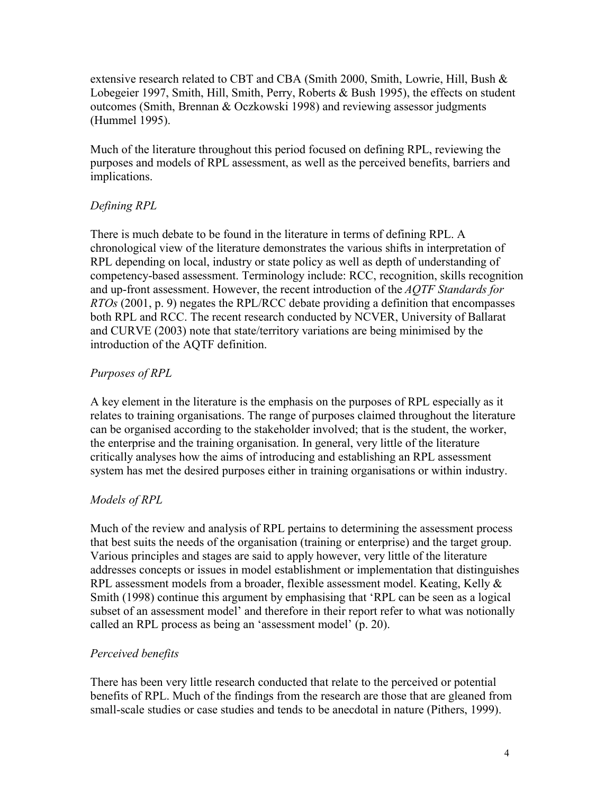extensive research related to CBT and CBA (Smith 2000, Smith, Lowrie, Hill, Bush & Lobegeier 1997, Smith, Hill, Smith, Perry, Roberts & Bush 1995), the effects on student outcomes (Smith, Brennan & Oczkowski 1998) and reviewing assessor judgments (Hummel 1995).

Much of the literature throughout this period focused on defining RPL, reviewing the purposes and models of RPL assessment, as well as the perceived benefits, barriers and implications.

# *Defining RPL*

There is much debate to be found in the literature in terms of defining RPL. A chronological view of the literature demonstrates the various shifts in interpretation of RPL depending on local, industry or state policy as well as depth of understanding of competency-based assessment. Terminology include: RCC, recognition, skills recognition and up-front assessment. However, the recent introduction of the *AQTF Standards for RTOs* (2001, p. 9) negates the RPL/RCC debate providing a definition that encompasses both RPL and RCC. The recent research conducted by NCVER, University of Ballarat and CURVE (2003) note that state/territory variations are being minimised by the introduction of the AQTF definition.

# *Purposes of RPL*

A key element in the literature is the emphasis on the purposes of RPL especially as it relates to training organisations. The range of purposes claimed throughout the literature can be organised according to the stakeholder involved; that is the student, the worker, the enterprise and the training organisation. In general, very little of the literature critically analyses how the aims of introducing and establishing an RPL assessment system has met the desired purposes either in training organisations or within industry.

## *Models of RPL*

Much of the review and analysis of RPL pertains to determining the assessment process that best suits the needs of the organisation (training or enterprise) and the target group. Various principles and stages are said to apply however, very little of the literature addresses concepts or issues in model establishment or implementation that distinguishes RPL assessment models from a broader, flexible assessment model. Keating, Kelly  $\&$ Smith (1998) continue this argument by emphasising that 'RPL can be seen as a logical subset of an assessment model' and therefore in their report refer to what was notionally called an RPL process as being an 'assessment model' (p. 20).

## *Perceived benefits*

There has been very little research conducted that relate to the perceived or potential benefits of RPL. Much of the findings from the research are those that are gleaned from small-scale studies or case studies and tends to be anecdotal in nature (Pithers, 1999).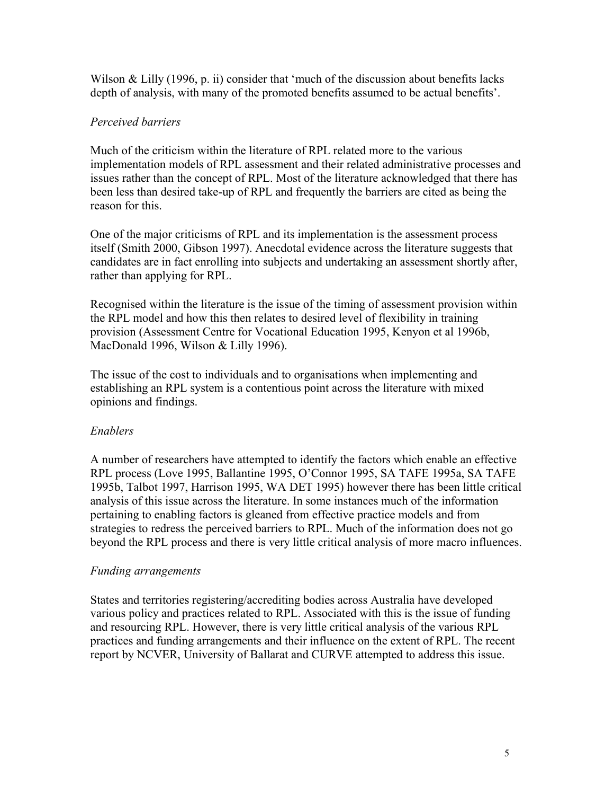Wilson  $\&$  Lilly (1996, p. ii) consider that 'much of the discussion about benefits lacks depth of analysis, with many of the promoted benefits assumed to be actual benefits'.

## *Perceived barriers*

Much of the criticism within the literature of RPL related more to the various implementation models of RPL assessment and their related administrative processes and issues rather than the concept of RPL. Most of the literature acknowledged that there has been less than desired take-up of RPL and frequently the barriers are cited as being the reason for this.

One of the major criticisms of RPL and its implementation is the assessment process itself (Smith 2000, Gibson 1997). Anecdotal evidence across the literature suggests that candidates are in fact enrolling into subjects and undertaking an assessment shortly after, rather than applying for RPL.

Recognised within the literature is the issue of the timing of assessment provision within the RPL model and how this then relates to desired level of flexibility in training provision (Assessment Centre for Vocational Education 1995, Kenyon et al 1996b, MacDonald 1996, Wilson & Lilly 1996).

The issue of the cost to individuals and to organisations when implementing and establishing an RPL system is a contentious point across the literature with mixed opinions and findings.

## *Enablers*

A number of researchers have attempted to identify the factors which enable an effective RPL process (Love 1995, Ballantine 1995, O'Connor 1995, SA TAFE 1995a, SA TAFE 1995b, Talbot 1997, Harrison 1995, WA DET 1995) however there has been little critical analysis of this issue across the literature. In some instances much of the information pertaining to enabling factors is gleaned from effective practice models and from strategies to redress the perceived barriers to RPL. Much of the information does not go beyond the RPL process and there is very little critical analysis of more macro influences.

## *Funding arrangements*

States and territories registering/accrediting bodies across Australia have developed various policy and practices related to RPL. Associated with this is the issue of funding and resourcing RPL. However, there is very little critical analysis of the various RPL practices and funding arrangements and their influence on the extent of RPL. The recent report by NCVER, University of Ballarat and CURVE attempted to address this issue.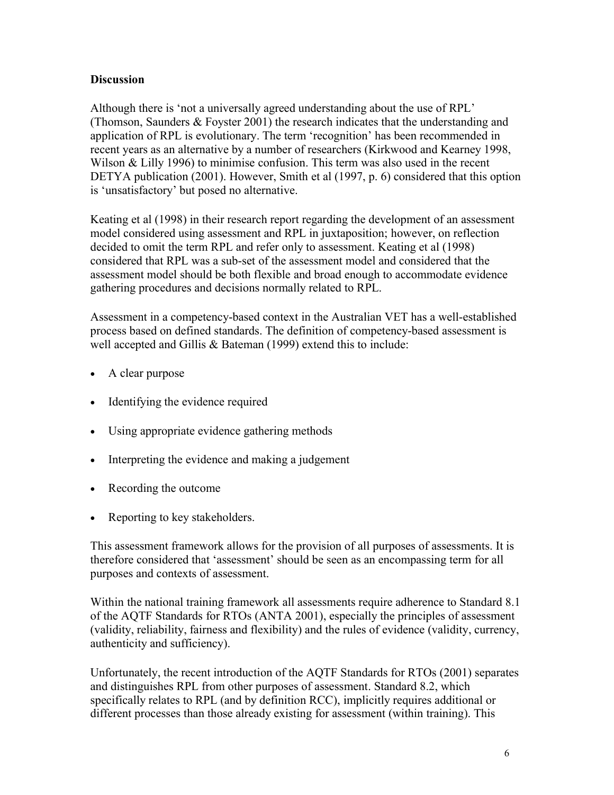## **Discussion**

Although there is 'not a universally agreed understanding about the use of RPL' (Thomson, Saunders & Foyster 2001) the research indicates that the understanding and application of RPL is evolutionary. The term 'recognition' has been recommended in recent years as an alternative by a number of researchers (Kirkwood and Kearney 1998, Wilson & Lilly 1996) to minimise confusion. This term was also used in the recent DETYA publication (2001). However, Smith et al (1997, p. 6) considered that this option is 'unsatisfactory' but posed no alternative.

Keating et al (1998) in their research report regarding the development of an assessment model considered using assessment and RPL in juxtaposition; however, on reflection decided to omit the term RPL and refer only to assessment. Keating et al (1998) considered that RPL was a sub-set of the assessment model and considered that the assessment model should be both flexible and broad enough to accommodate evidence gathering procedures and decisions normally related to RPL.

Assessment in a competency-based context in the Australian VET has a well-established process based on defined standards. The definition of competency-based assessment is well accepted and Gillis & Bateman (1999) extend this to include:

- A clear purpose
- Identifying the evidence required
- Using appropriate evidence gathering methods
- Interpreting the evidence and making a judgement
- Recording the outcome
- Reporting to key stakeholders.

This assessment framework allows for the provision of all purposes of assessments. It is therefore considered that 'assessment' should be seen as an encompassing term for all purposes and contexts of assessment.

Within the national training framework all assessments require adherence to Standard 8.1 of the AQTF Standards for RTOs (ANTA 2001), especially the principles of assessment (validity, reliability, fairness and flexibility) and the rules of evidence (validity, currency, authenticity and sufficiency).

Unfortunately, the recent introduction of the AQTF Standards for RTOs (2001) separates and distinguishes RPL from other purposes of assessment. Standard 8.2, which specifically relates to RPL (and by definition RCC), implicitly requires additional or different processes than those already existing for assessment (within training). This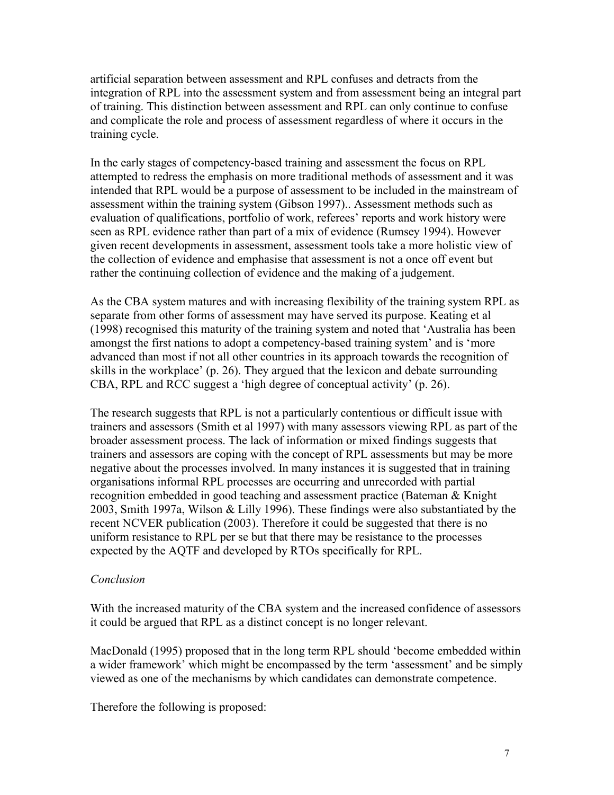artificial separation between assessment and RPL confuses and detracts from the integration of RPL into the assessment system and from assessment being an integral part of training. This distinction between assessment and RPL can only continue to confuse and complicate the role and process of assessment regardless of where it occurs in the training cycle.

In the early stages of competency-based training and assessment the focus on RPL attempted to redress the emphasis on more traditional methods of assessment and it was intended that RPL would be a purpose of assessment to be included in the mainstream of assessment within the training system (Gibson 1997).. Assessment methods such as evaluation of qualifications, portfolio of work, referees' reports and work history were seen as RPL evidence rather than part of a mix of evidence (Rumsey 1994). However given recent developments in assessment, assessment tools take a more holistic view of the collection of evidence and emphasise that assessment is not a once off event but rather the continuing collection of evidence and the making of a judgement.

As the CBA system matures and with increasing flexibility of the training system RPL as separate from other forms of assessment may have served its purpose. Keating et al (1998) recognised this maturity of the training system and noted that 'Australia has been amongst the first nations to adopt a competency-based training system' and is 'more advanced than most if not all other countries in its approach towards the recognition of skills in the workplace' (p. 26). They argued that the lexicon and debate surrounding CBA, RPL and RCC suggest a 'high degree of conceptual activity' (p. 26).

The research suggests that RPL is not a particularly contentious or difficult issue with trainers and assessors (Smith et al 1997) with many assessors viewing RPL as part of the broader assessment process. The lack of information or mixed findings suggests that trainers and assessors are coping with the concept of RPL assessments but may be more negative about the processes involved. In many instances it is suggested that in training organisations informal RPL processes are occurring and unrecorded with partial recognition embedded in good teaching and assessment practice (Bateman & Knight 2003, Smith 1997a, Wilson & Lilly 1996). These findings were also substantiated by the recent NCVER publication (2003). Therefore it could be suggested that there is no uniform resistance to RPL per se but that there may be resistance to the processes expected by the AQTF and developed by RTOs specifically for RPL.

#### *Conclusion*

With the increased maturity of the CBA system and the increased confidence of assessors it could be argued that RPL as a distinct concept is no longer relevant.

MacDonald (1995) proposed that in the long term RPL should 'become embedded within a wider framework' which might be encompassed by the term 'assessment' and be simply viewed as one of the mechanisms by which candidates can demonstrate competence.

Therefore the following is proposed: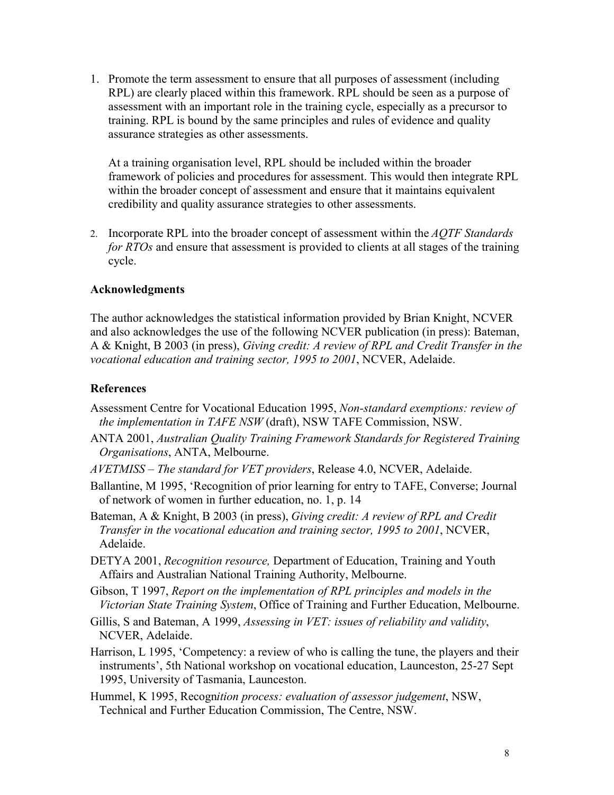1. Promote the term assessment to ensure that all purposes of assessment (including RPL) are clearly placed within this framework. RPL should be seen as a purpose of assessment with an important role in the training cycle, especially as a precursor to training. RPL is bound by the same principles and rules of evidence and quality assurance strategies as other assessments.

At a training organisation level, RPL should be included within the broader framework of policies and procedures for assessment. This would then integrate RPL within the broader concept of assessment and ensure that it maintains equivalent credibility and quality assurance strategies to other assessments.

2. Incorporate RPL into the broader concept of assessment within the *AQTF Standards for RTOs* and ensure that assessment is provided to clients at all stages of the training cycle.

#### **Acknowledgments**

The author acknowledges the statistical information provided by Brian Knight, NCVER and also acknowledges the use of the following NCVER publication (in press): Bateman, A & Knight, B 2003 (in press), *Giving credit: A review of RPL and Credit Transfer in the vocational education and training sector, 1995 to 2001*, NCVER, Adelaide.

#### **References**

- Assessment Centre for Vocational Education 1995, *Non-standard exemptions: review of the implementation in TAFE NSW* (draft), NSW TAFE Commission, NSW.
- ANTA 2001, *Australian Quality Training Framework Standards for Registered Training Organisations*, ANTA, Melbourne.
- *AVETMISS The standard for VET providers*, Release 4.0, NCVER, Adelaide.
- Ballantine, M 1995, 'Recognition of prior learning for entry to TAFE, Converse; Journal of network of women in further education, no. 1, p. 14
- Bateman, A & Knight, B 2003 (in press), *Giving credit: A review of RPL and Credit Transfer in the vocational education and training sector, 1995 to 2001*, NCVER, Adelaide.
- DETYA 2001, *Recognition resource,* Department of Education, Training and Youth Affairs and Australian National Training Authority, Melbourne.
- Gibson, T 1997, *Report on the implementation of RPL principles and models in the Victorian State Training System*, Office of Training and Further Education, Melbourne.
- Gillis, S and Bateman, A 1999, *Assessing in VET: issues of reliability and validity*, NCVER, Adelaide.
- Harrison, L 1995, 'Competency: a review of who is calling the tune, the players and their instruments', 5th National workshop on vocational education, Launceston, 25-27 Sept 1995, University of Tasmania, Launceston.
- Hummel, K 1995, Recogn*ition process: evaluation of assessor judgement*, NSW, Technical and Further Education Commission, The Centre, NSW.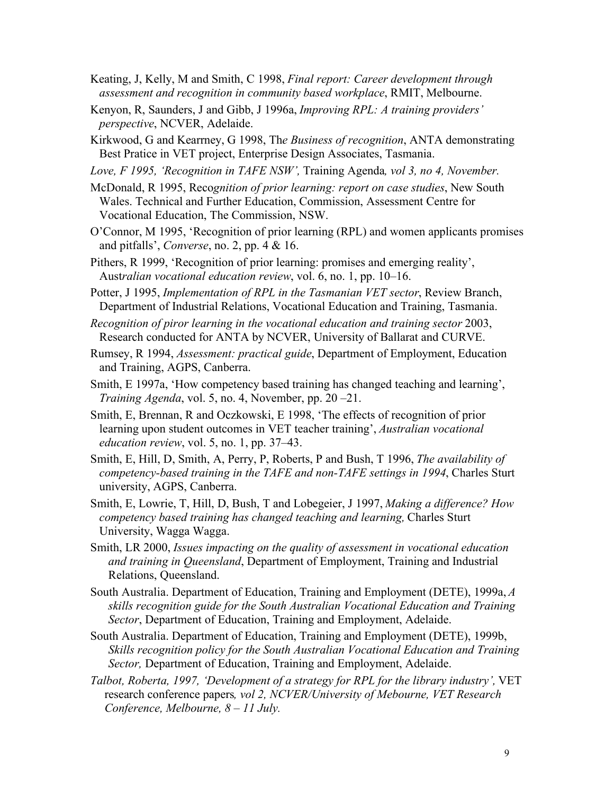- Keating, J, Kelly, M and Smith, C 1998, *Final report: Career development through assessment and recognition in community based workplace*, RMIT, Melbourne.
- Kenyon, R, Saunders, J and Gibb, J 1996a, *Improving RPL: A training providers' perspective*, NCVER, Adelaide.
- Kirkwood, G and Kearrney, G 1998, Th*e Business of recognition*, ANTA demonstrating Best Pratice in VET project, Enterprise Design Associates, Tasmania.
- *Love, F 1995, 'Recognition in TAFE NSW',* Training Agenda*, vol 3, no 4, November.*
- McDonald, R 1995, Reco*gnition of prior learning: report on case studies*, New South Wales. Technical and Further Education, Commission, Assessment Centre for Vocational Education, The Commission, NSW.
- O'Connor, M 1995, 'Recognition of prior learning (RPL) and women applicants promises and pitfalls', *Converse*, no. 2, pp. 4 & 16.
- Pithers, R 1999, 'Recognition of prior learning: promises and emerging reality', Aust*ralian vocational education review*, vol. 6, no. 1, pp. 10–16.
- Potter, J 1995, *Implementation of RPL in the Tasmanian VET sector*, Review Branch, Department of Industrial Relations, Vocational Education and Training, Tasmania.
- *Recognition of piror learning in the vocational education and training sector* 2003, Research conducted for ANTA by NCVER, University of Ballarat and CURVE.
- Rumsey, R 1994, *Assessment: practical guide*, Department of Employment, Education and Training, AGPS, Canberra.
- Smith, E 1997a, 'How competency based training has changed teaching and learning', *Training Agenda*, vol. 5, no. 4, November, pp. 20 –21.
- Smith, E, Brennan, R and Oczkowski, E 1998, 'The effects of recognition of prior learning upon student outcomes in VET teacher training', *Australian vocational education review*, vol. 5, no. 1, pp. 37–43.
- Smith, E, Hill, D, Smith, A, Perry, P, Roberts, P and Bush, T 1996, *The availability of competency-based training in the TAFE and non-TAFE settings in 1994*, Charles Sturt university, AGPS, Canberra.
- Smith, E, Lowrie, T, Hill, D, Bush, T and Lobegeier, J 1997, *Making a difference? How competency based training has changed teaching and learning,* Charles Sturt University, Wagga Wagga.
- Smith, LR 2000, *Issues impacting on the quality of assessment in vocational education and training in Queensland*, Department of Employment, Training and Industrial Relations, Queensland.
- South Australia. Department of Education, Training and Employment (DETE), 1999a, *A skills recognition guide for the South Australian Vocational Education and Training Sector*, Department of Education, Training and Employment, Adelaide.
- South Australia. Department of Education, Training and Employment (DETE), 1999b, *Skills recognition policy for the South Australian Vocational Education and Training Sector,* Department of Education, Training and Employment, Adelaide.
- *Talbot, Roberta, 1997, 'Development of a strategy for RPL for the library industry',* VET research conference papers*, vol 2, NCVER/University of Mebourne, VET Research Conference, Melbourne, 8 – 11 July.*